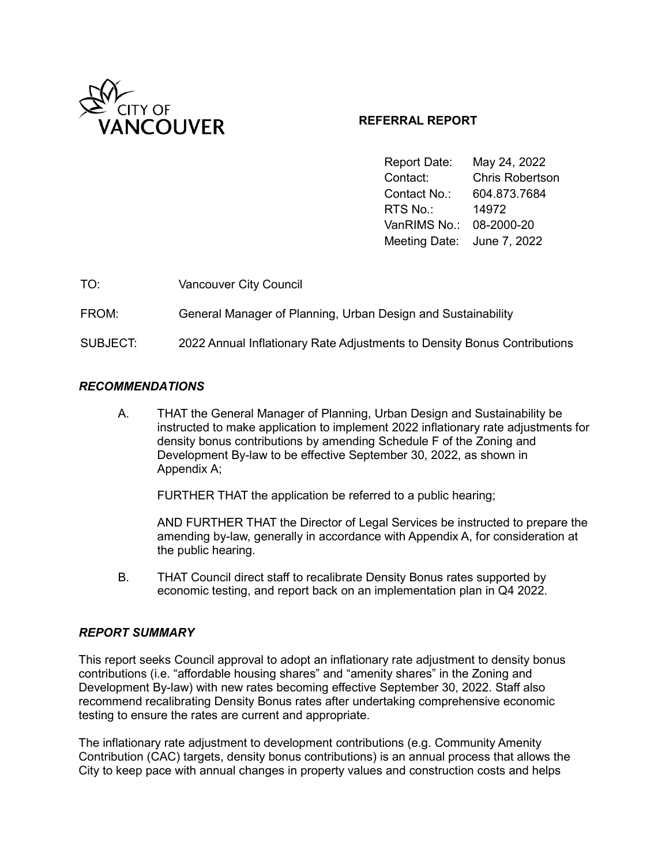

# **REFERRAL REPORT**

Report Date: May 24, 2022 Contact: Chris Robertson Contact No.: 604.873.7684 RTS No.: 14972 VanRIMS No.: 08-2000-20 Meeting Date: June 7, 2022

| TO:      | <b>Vancouver City Council</b>                                            |
|----------|--------------------------------------------------------------------------|
| FROM:    | General Manager of Planning, Urban Design and Sustainability             |
| SUBJECT: | 2022 Annual Inflationary Rate Adjustments to Density Bonus Contributions |

#### *RECOMMENDATIONS*

A. THAT the General Manager of Planning, Urban Design and Sustainability be instructed to make application to implement 2022 inflationary rate adjustments for density bonus contributions by amending Schedule F of the Zoning and Development By-law to be effective September 30, 2022, as shown in Appendix A;

FURTHER THAT the application be referred to a public hearing;

AND FURTHER THAT the Director of Legal Services be instructed to prepare the amending by-law, generally in accordance with Appendix A, for consideration at the public hearing.

B. THAT Council direct staff to recalibrate Density Bonus rates supported by economic testing, and report back on an implementation plan in Q4 2022.

#### *REPORT SUMMARY*

This report seeks Council approval to adopt an inflationary rate adjustment to density bonus contributions (i.e. "affordable housing shares" and "amenity shares" in the Zoning and Development By-law) with new rates becoming effective September 30, 2022. Staff also recommend recalibrating Density Bonus rates after undertaking comprehensive economic testing to ensure the rates are current and appropriate.

The inflationary rate adjustment to development contributions (e.g. Community Amenity Contribution (CAC) targets, density bonus contributions) is an annual process that allows the City to keep pace with annual changes in property values and construction costs and helps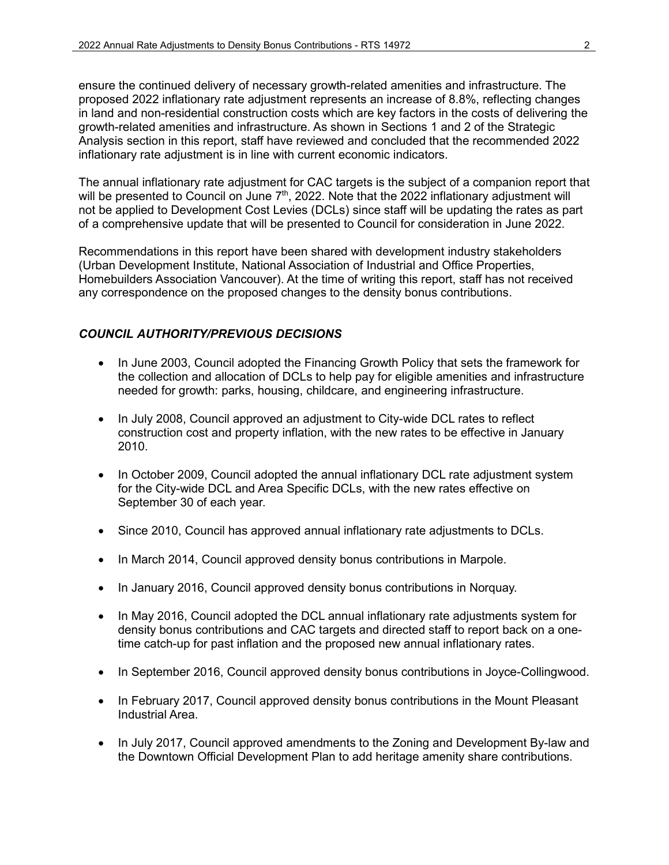ensure the continued delivery of necessary growth-related amenities and infrastructure. The proposed 2022 inflationary rate adjustment represents an increase of 8.8%, reflecting changes in land and non-residential construction costs which are key factors in the costs of delivering the growth-related amenities and infrastructure. As shown in Sections 1 and 2 of the Strategic Analysis section in this report, staff have reviewed and concluded that the recommended 2022 inflationary rate adjustment is in line with current economic indicators.

The annual inflationary rate adjustment for CAC targets is the subject of a companion report that will be presented to Council on June 7<sup>th</sup>, 2022. Note that the 2022 inflationary adjustment will not be applied to Development Cost Levies (DCLs) since staff will be updating the rates as part of a comprehensive update that will be presented to Council for consideration in June 2022.

Recommendations in this report have been shared with development industry stakeholders (Urban Development Institute, National Association of Industrial and Office Properties, Homebuilders Association Vancouver). At the time of writing this report, staff has not received any correspondence on the proposed changes to the density bonus contributions.

# *COUNCIL AUTHORITY/PREVIOUS DECISIONS*

- In June 2003, Council adopted the Financing Growth Policy that sets the framework for the collection and allocation of DCLs to help pay for eligible amenities and infrastructure needed for growth: parks, housing, childcare, and engineering infrastructure.
- In July 2008, Council approved an adjustment to City-wide DCL rates to reflect construction cost and property inflation, with the new rates to be effective in January 2010.
- In October 2009, Council adopted the annual inflationary DCL rate adjustment system for the City-wide DCL and Area Specific DCLs, with the new rates effective on September 30 of each year.
- Since 2010, Council has approved annual inflationary rate adjustments to DCLs.
- In March 2014, Council approved density bonus contributions in Marpole.
- In January 2016, Council approved density bonus contributions in Norquay.
- In May 2016, Council adopted the DCL annual inflationary rate adjustments system for density bonus contributions and CAC targets and directed staff to report back on a onetime catch-up for past inflation and the proposed new annual inflationary rates.
- In September 2016, Council approved density bonus contributions in Joyce-Collingwood.
- In February 2017, Council approved density bonus contributions in the Mount Pleasant Industrial Area.
- In July 2017, Council approved amendments to the Zoning and Development By-law and the Downtown Official Development Plan to add heritage amenity share contributions.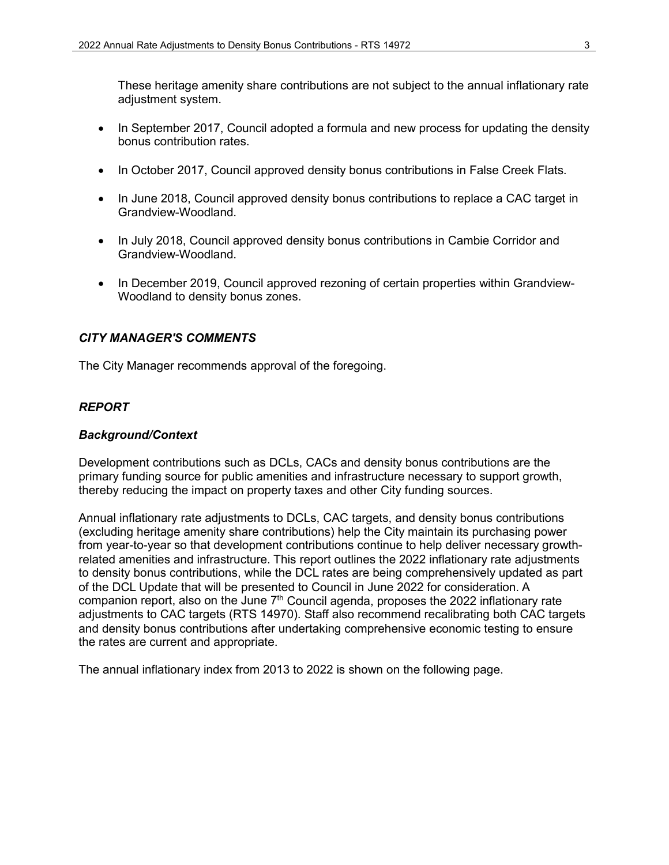These heritage amenity share contributions are not subject to the annual inflationary rate adjustment system.

- In September 2017, Council adopted a formula and new process for updating the density bonus contribution rates.
- In October 2017, Council approved density bonus contributions in False Creek Flats.
- In June 2018, Council approved density bonus contributions to replace a CAC target in Grandview-Woodland.
- In July 2018, Council approved density bonus contributions in Cambie Corridor and Grandview-Woodland.
- In December 2019, Council approved rezoning of certain properties within Grandview-Woodland to density bonus zones.

# *CITY MANAGER'S COMMENTS*

The City Manager recommends approval of the foregoing.

### *REPORT*

#### *Background/Context*

Development contributions such as DCLs, CACs and density bonus contributions are the primary funding source for public amenities and infrastructure necessary to support growth, thereby reducing the impact on property taxes and other City funding sources.

Annual inflationary rate adjustments to DCLs, CAC targets, and density bonus contributions (excluding heritage amenity share contributions) help the City maintain its purchasing power from year-to-year so that development contributions continue to help deliver necessary growthrelated amenities and infrastructure. This report outlines the 2022 inflationary rate adjustments to density bonus contributions, while the DCL rates are being comprehensively updated as part of the DCL Update that will be presented to Council in June 2022 for consideration. A companion report, also on the June  $7<sup>th</sup>$  Council agenda, proposes the 2022 inflationary rate adjustments to CAC targets (RTS 14970). Staff also recommend recalibrating both CAC targets and density bonus contributions after undertaking comprehensive economic testing to ensure the rates are current and appropriate.

The annual inflationary index from 2013 to 2022 is shown on the following page.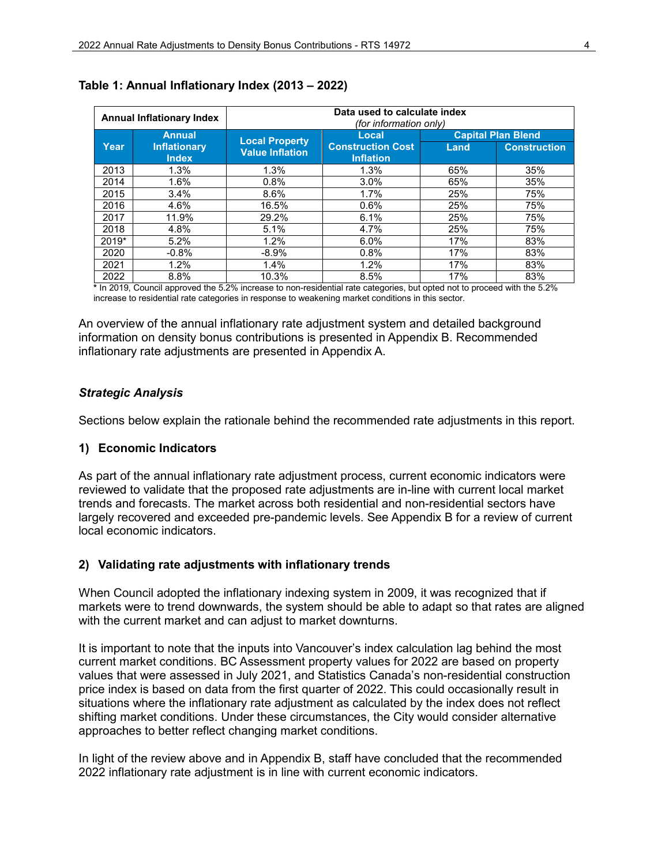| <b>Annual Inflationary Index</b> |                                     | Data used to calculate index<br><i>(for information only)</i> |                                                       |                           |                                                        |
|----------------------------------|-------------------------------------|---------------------------------------------------------------|-------------------------------------------------------|---------------------------|--------------------------------------------------------|
|                                  | <b>Annual</b>                       | <b>Local Property</b><br><b>Value Inflation</b>               | Local<br><b>Construction Cost</b><br><b>Inflation</b> | <b>Capital Plan Blend</b> |                                                        |
| Year                             | <b>Inflationary</b><br><b>Index</b> |                                                               |                                                       | Land                      | <b>Construction</b>                                    |
| 2013                             | 1.3%                                | 1.3%                                                          | 1.3%                                                  | 65%                       | 35%                                                    |
| 2014                             | $1.6\%$                             | 0.8%                                                          | 3.0%                                                  | 65%                       | 35%                                                    |
| 2015                             | 3.4%                                | 8.6%                                                          | 1.7%                                                  | 25%                       | 75%                                                    |
| 2016                             | 4.6%                                | 16.5%                                                         | 0.6%                                                  | 25%                       | 75%                                                    |
| 2017                             | 11.9%                               | 29.2%                                                         | 6.1%                                                  | 25%                       | 75%                                                    |
| 2018                             | 4.8%                                | 5.1%                                                          | 4.7%                                                  | 25%                       | 75%                                                    |
| $2019*$                          | 5.2%                                | 1.2%                                                          | 6.0%                                                  | 17%                       | 83%                                                    |
| 2020                             | $-0.8%$                             | $-8.9\%$                                                      | 0.8%                                                  | 17%                       | 83%                                                    |
| 2021                             | 1.2%                                | 1.4%                                                          | 1.2%                                                  | 17%                       | 83%                                                    |
| 2022                             | 8.8%<br>$\cdot$ $\cdot$ $\cdot$     | 10.3%<br>$- - - - -$                                          | 8.5%<br>.                                             | 17%                       | 83%<br>$\cdot$ $\cdot$ $\cdot$ $\cdot$ $\cdot$ $\cdot$ |

#### **Table 1: Annual Inflationary Index (2013 – 2022)**

**\*** In 2019, Council approved the 5.2% increase to non-residential rate categories, but opted not to proceed with the 5.2% increase to residential rate categories in response to weakening market conditions in this sector.

An overview of the annual inflationary rate adjustment system and detailed background information on density bonus contributions is presented in Appendix B. Recommended inflationary rate adjustments are presented in Appendix A.

### *Strategic Analysis*

Sections below explain the rationale behind the recommended rate adjustments in this report.

#### **1) Economic Indicators**

As part of the annual inflationary rate adjustment process, current economic indicators were reviewed to validate that the proposed rate adjustments are in-line with current local market trends and forecasts. The market across both residential and non-residential sectors have largely recovered and exceeded pre-pandemic levels. See Appendix B for a review of current local economic indicators.

#### **2) Validating rate adjustments with inflationary trends**

When Council adopted the inflationary indexing system in 2009, it was recognized that if markets were to trend downwards, the system should be able to adapt so that rates are aligned with the current market and can adjust to market downturns.

It is important to note that the inputs into Vancouver's index calculation lag behind the most current market conditions. BC Assessment property values for 2022 are based on property values that were assessed in July 2021, and Statistics Canada's non-residential construction price index is based on data from the first quarter of 2022. This could occasionally result in situations where the inflationary rate adjustment as calculated by the index does not reflect shifting market conditions. Under these circumstances, the City would consider alternative approaches to better reflect changing market conditions.

In light of the review above and in Appendix B, staff have concluded that the recommended 2022 inflationary rate adjustment is in line with current economic indicators.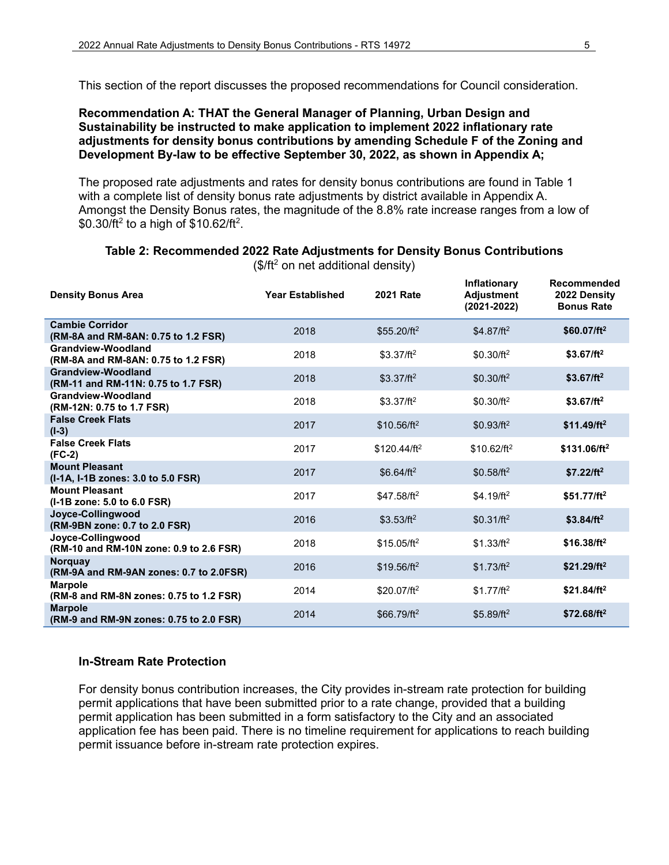This section of the report discusses the proposed recommendations for Council consideration.

#### **Recommendation A: THAT the General Manager of Planning, Urban Design and Sustainability be instructed to make application to implement 2022 inflationary rate adjustments for density bonus contributions by amending Schedule F of the Zoning and Development By-law to be effective September 30, 2022, as shown in Appendix A;**

The proposed rate adjustments and rates for density bonus contributions are found in Table 1 with a complete list of density bonus rate adjustments by district available in Appendix A. Amongst the Density Bonus rates, the magnitude of the 8.8% rate increase ranges from a low of  $$0.30$ /ft $^2$  to a high of  $$10.62$ /ft $^2$ .

| <b>Density Bonus Area</b>                                     | <b>Year Established</b> | <b>2021 Rate</b> | Inflationary<br><b>Adjustment</b><br>$(2021 - 2022)$ | Recommended<br>2022 Density<br><b>Bonus Rate</b> |
|---------------------------------------------------------------|-------------------------|------------------|------------------------------------------------------|--------------------------------------------------|
| <b>Cambie Corridor</b><br>(RM-8A and RM-8AN: 0.75 to 1.2 FSR) | 2018                    | $$55.20/ft^2$    | $$4.87/ft^2$                                         | $$60.07/ft^2$                                    |
| Grandview-Woodland<br>(RM-8A and RM-8AN: 0.75 to 1.2 FSR)     | 2018                    | $$3.37/ft^2$     | $$0.30/ft^2$                                         | $$3.67/ft^2$                                     |
| Grandview-Woodland<br>(RM-11 and RM-11N: 0.75 to 1.7 FSR)     | 2018                    | $$3.37/ft^2$     | $$0.30/ft^2$                                         | $$3.67/ft^2$                                     |
| Grandview-Woodland<br>(RM-12N: 0.75 to 1.7 FSR)               | 2018                    | $$3.37/ft^2$     | $$0.30/ft^2$                                         | $$3.67/ft^2$                                     |
| <b>False Creek Flats</b><br>$(I-3)$                           | 2017                    | $$10.56/ft^2$    | $$0.93/ft^2$                                         | $$11.49/ft^2$                                    |
| <b>False Creek Flats</b><br>$(FC-2)$                          | 2017                    | $$120.44/ft^2$   | $$10.62/ft^2$                                        | $$131.06/ft^2$                                   |
| <b>Mount Pleasant</b><br>(I-1A, I-1B zones: 3.0 to 5.0 FSR)   | 2017                    | $$6.64/ft^2$     | $$0.58/ft^2$                                         | $$7.22/ft^2$                                     |
| <b>Mount Pleasant</b><br>(I-1B zone: 5.0 to 6.0 FSR)          | 2017                    | $$47.58/ft^2$    | $$4.19/ft^2$                                         | $$51.77/ft^2$                                    |
| Joyce-Collingwood<br>(RM-9BN zone: 0.7 to 2.0 FSR)            | 2016                    | $$3.53/ft^2$     | $$0.31/ft^2$                                         | $$3.84/ft^2$                                     |
| Joyce-Collingwood<br>(RM-10 and RM-10N zone: 0.9 to 2.6 FSR)  | 2018                    | $$15.05/ft^2$    | \$1.33/ft <sup>2</sup>                               | $$16.38/ft^2$                                    |
| <b>Norguay</b><br>(RM-9A and RM-9AN zones: 0.7 to 2.0FSR)     | 2016                    | $$19.56/ft^2$    | $$1.73/ft^2$                                         | $$21.29/ft^2$                                    |
| <b>Marpole</b><br>(RM-8 and RM-8N zones: 0.75 to 1.2 FSR)     | 2014                    | $$20.07/ft^2$    | $$1.77/ft^2$                                         | $$21.84/ft^2$                                    |
| <b>Marpole</b><br>(RM-9 and RM-9N zones: 0.75 to 2.0 FSR)     | 2014                    | $$66.79/ft^2$    | $$5.89/ft^2$                                         | $$72.68/ft^2$                                    |

# **Table 2: Recommended 2022 Rate Adjustments for Density Bonus Contributions**

 $($/ft<sup>2</sup>$  on net additional density)

# **In-Stream Rate Protection**

For density bonus contribution increases, the City provides in-stream rate protection for building permit applications that have been submitted prior to a rate change, provided that a building permit application has been submitted in a form satisfactory to the City and an associated application fee has been paid. There is no timeline requirement for applications to reach building permit issuance before in-stream rate protection expires.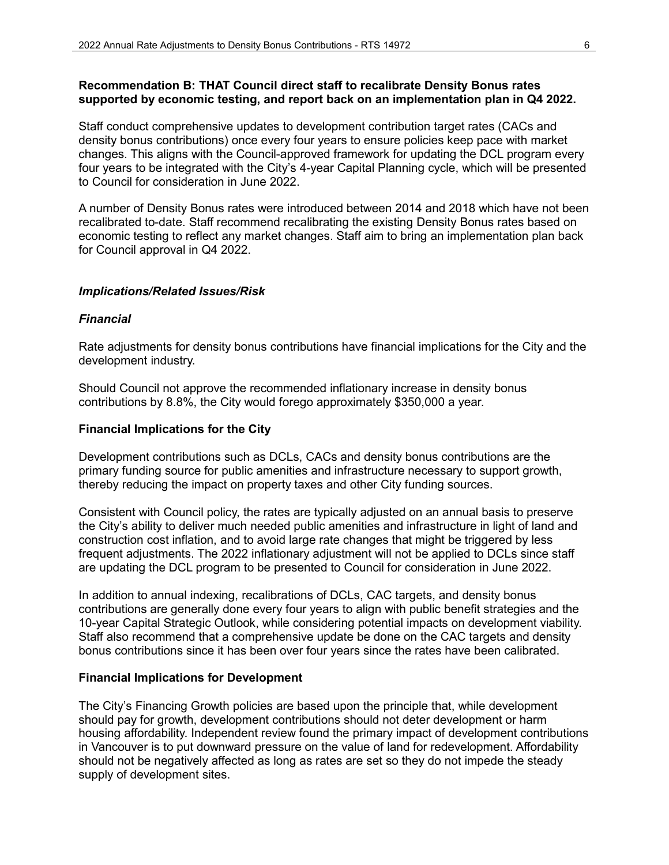# **Recommendation B: THAT Council direct staff to recalibrate Density Bonus rates supported by economic testing, and report back on an implementation plan in Q4 2022.**

Staff conduct comprehensive updates to development contribution target rates (CACs and density bonus contributions) once every four years to ensure policies keep pace with market changes. This aligns with the Council-approved framework for updating the DCL program every four years to be integrated with the City's 4-year Capital Planning cycle, which will be presented to Council for consideration in June 2022.

A number of Density Bonus rates were introduced between 2014 and 2018 which have not been recalibrated to-date. Staff recommend recalibrating the existing Density Bonus rates based on economic testing to reflect any market changes. Staff aim to bring an implementation plan back for Council approval in Q4 2022.

### *Implications/Related Issues/Risk*

#### *Financial*

Rate adjustments for density bonus contributions have financial implications for the City and the development industry.

Should Council not approve the recommended inflationary increase in density bonus contributions by 8.8%, the City would forego approximately \$350,000 a year.

#### **Financial Implications for the City**

Development contributions such as DCLs, CACs and density bonus contributions are the primary funding source for public amenities and infrastructure necessary to support growth, thereby reducing the impact on property taxes and other City funding sources.

Consistent with Council policy, the rates are typically adjusted on an annual basis to preserve the City's ability to deliver much needed public amenities and infrastructure in light of land and construction cost inflation, and to avoid large rate changes that might be triggered by less frequent adjustments. The 2022 inflationary adjustment will not be applied to DCLs since staff are updating the DCL program to be presented to Council for consideration in June 2022.

In addition to annual indexing, recalibrations of DCLs, CAC targets, and density bonus contributions are generally done every four years to align with public benefit strategies and the 10-year Capital Strategic Outlook, while considering potential impacts on development viability. Staff also recommend that a comprehensive update be done on the CAC targets and density bonus contributions since it has been over four years since the rates have been calibrated.

#### **Financial Implications for Development**

The City's Financing Growth policies are based upon the principle that, while development should pay for growth, development contributions should not deter development or harm housing affordability. Independent review found the primary impact of development contributions in Vancouver is to put downward pressure on the value of land for redevelopment. Affordability should not be negatively affected as long as rates are set so they do not impede the steady supply of development sites.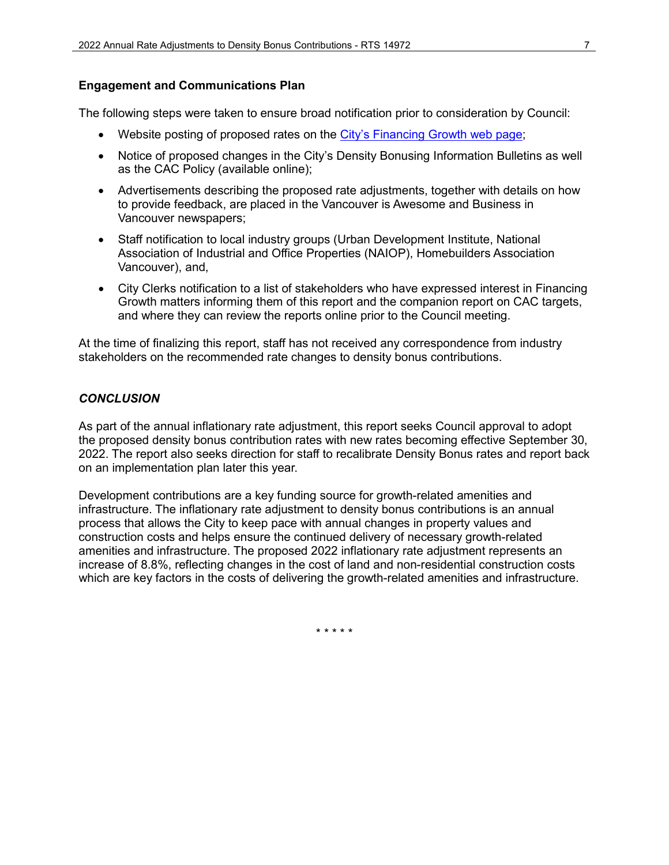### **Engagement and Communications Plan**

The following steps were taken to ensure broad notification prior to consideration by Council:

- Website posting of proposed rates on the [City's Financing Growth web page;](https://vancouver.ca/home-property-development/how-development-funds-communities.aspx)
- Notice of proposed changes in the City's Density Bonusing Information Bulletins as well as the CAC Policy (available online);
- Advertisements describing the proposed rate adjustments, together with details on how to provide feedback, are placed in the Vancouver is Awesome and Business in Vancouver newspapers;
- Staff notification to local industry groups (Urban Development Institute, National Association of Industrial and Office Properties (NAIOP), Homebuilders Association Vancouver), and,
- City Clerks notification to a list of stakeholders who have expressed interest in Financing Growth matters informing them of this report and the companion report on CAC targets, and where they can review the reports online prior to the Council meeting.

At the time of finalizing this report, staff has not received any correspondence from industry stakeholders on the recommended rate changes to density bonus contributions.

### *CONCLUSION*

As part of the annual inflationary rate adjustment, this report seeks Council approval to adopt the proposed density bonus contribution rates with new rates becoming effective September 30, 2022. The report also seeks direction for staff to recalibrate Density Bonus rates and report back on an implementation plan later this year.

Development contributions are a key funding source for growth-related amenities and infrastructure. The inflationary rate adjustment to density bonus contributions is an annual process that allows the City to keep pace with annual changes in property values and construction costs and helps ensure the continued delivery of necessary growth-related amenities and infrastructure. The proposed 2022 inflationary rate adjustment represents an increase of 8.8%, reflecting changes in the cost of land and non-residential construction costs which are key factors in the costs of delivering the growth-related amenities and infrastructure.

\* \* \* \* \*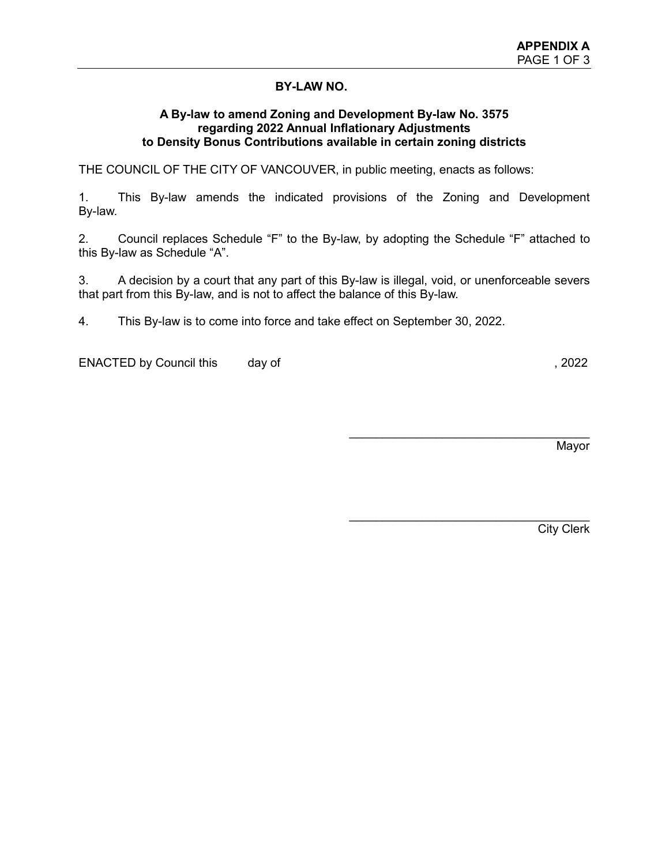# **BY-LAW NO.**

#### **A By-law to amend Zoning and Development By-law No. 3575 regarding 2022 Annual Inflationary Adjustments to Density Bonus Contributions available in certain zoning districts**

THE COUNCIL OF THE CITY OF VANCOUVER, in public meeting, enacts as follows:

1. This By-law amends the indicated provisions of the Zoning and Development By-law.

2. Council replaces Schedule "F" to the By-law, by adopting the Schedule "F" attached to this By-law as Schedule "A".

3. A decision by a court that any part of this By-law is illegal, void, or unenforceable severs that part from this By-law, and is not to affect the balance of this By-law.

4. This By-law is to come into force and take effect on September 30, 2022.

ENACTED by Council this day of , 2022

Mayor

\_\_\_\_\_\_\_\_\_\_\_\_\_\_\_\_\_\_\_\_\_\_\_\_\_\_\_\_\_\_\_\_\_\_\_\_

\_\_\_\_\_\_\_\_\_\_\_\_\_\_\_\_\_\_\_\_\_\_\_\_\_\_\_\_\_\_\_\_\_\_\_\_

City Clerk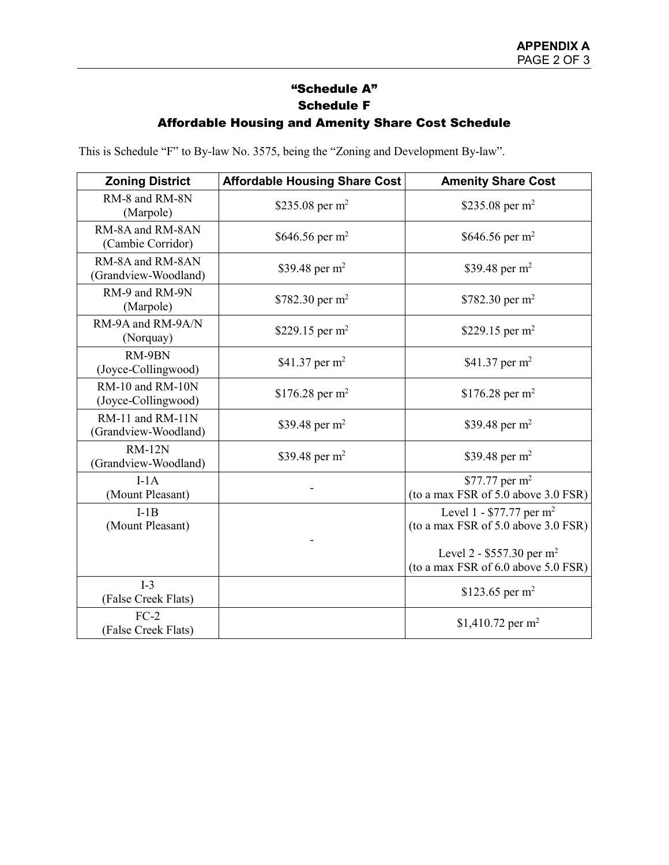# "Schedule A" Schedule F Affordable Housing and Amenity Share Cost Schedule

This is Schedule "F" to By-law No. 3575, being the "Zoning and Development By-law".

| <b>Zoning District</b>                   | <b>Affordable Housing Share Cost</b> | <b>Amenity Share Cost</b>                                                   |
|------------------------------------------|--------------------------------------|-----------------------------------------------------------------------------|
| RM-8 and RM-8N<br>(Marpole)              | \$235.08 per $m^2$                   | \$235.08 per $m^2$                                                          |
| RM-8A and RM-8AN<br>(Cambie Corridor)    | \$646.56 per $m^2$                   | \$646.56 per m <sup>2</sup>                                                 |
| RM-8A and RM-8AN<br>(Grandview-Woodland) | \$39.48 per $m^2$                    | \$39.48 per $m^2$                                                           |
| RM-9 and RM-9N<br>(Marpole)              | \$782.30 per $m^2$                   | \$782.30 per $m^2$                                                          |
| RM-9A and RM-9A/N<br>(Norquay)           | \$229.15 per $m^2$                   | \$229.15 per $m^2$                                                          |
| RM-9BN<br>(Joyce-Collingwood)            | \$41.37 per $m^2$                    | \$41.37 per $m^2$                                                           |
| RM-10 and RM-10N<br>(Joyce-Collingwood)  | \$176.28 per m <sup>2</sup>          | \$176.28 per m <sup>2</sup>                                                 |
| RM-11 and RM-11N<br>(Grandview-Woodland) | \$39.48 per $m^2$                    | \$39.48 per $m^2$                                                           |
| $RM-12N$<br>(Grandview-Woodland)         | \$39.48 per $m^2$                    | \$39.48 per $m^2$                                                           |
| $I-1A$<br>(Mount Pleasant)               |                                      | \$77.77 per $m^2$<br>(to a max FSR of 5.0 above 3.0 FSR)                    |
| $I-1B$<br>(Mount Pleasant)               |                                      | Level 1 - \$77.77 per m <sup>2</sup><br>(to a max FSR of 5.0 above 3.0 FSR) |
|                                          |                                      | Level 2 - \$557.30 per $m^2$<br>(to a max FSR of 6.0 above 5.0 FSR)         |
| $I-3$<br>(False Creek Flats)             |                                      | \$123.65 per m <sup>2</sup>                                                 |
| $FC-2$<br>(False Creek Flats)            |                                      | \$1,410.72 per $m^2$                                                        |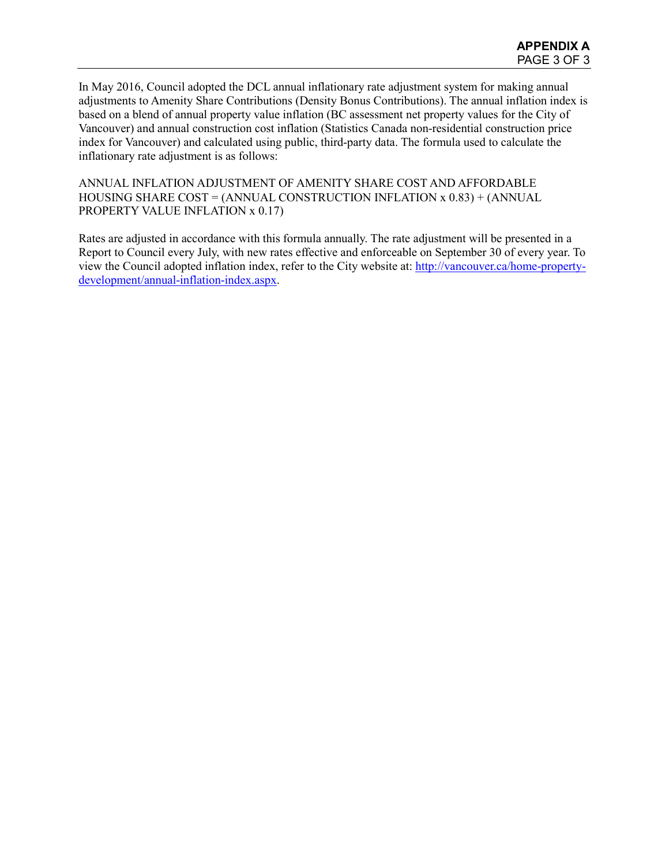In May 2016, Council adopted the DCL annual inflationary rate adjustment system for making annual adjustments to Amenity Share Contributions (Density Bonus Contributions). The annual inflation index is based on a blend of annual property value inflation (BC assessment net property values for the City of Vancouver) and annual construction cost inflation (Statistics Canada non-residential construction price index for Vancouver) and calculated using public, third-party data. The formula used to calculate the inflationary rate adjustment is as follows:

ANNUAL INFLATION ADJUSTMENT OF AMENITY SHARE COST AND AFFORDABLE HOUSING SHARE  $COST = (ANNUAL \; CONSTRUCTION \; INFLATION \; x \; 0.83) + (ANNUAL \;$ PROPERTY VALUE INFLATION x 0.17)

Rates are adjusted in accordance with this formula annually. The rate adjustment will be presented in a Report to Council every July, with new rates effective and enforceable on September 30 of every year. To view the Council adopted inflation index, refer to the City website at: [http://vancouver.ca/home-property](http://vancouver.ca/home-property-development/annual-inflation-index.aspx)[development/annual-inflation-index.aspx.](http://vancouver.ca/home-property-development/annual-inflation-index.aspx)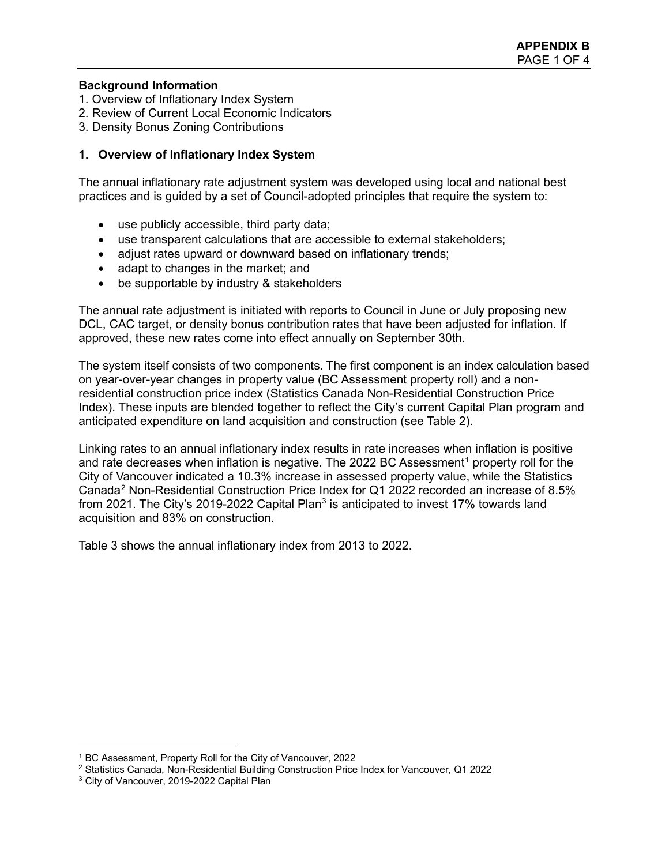### **Background Information**

- 1. Overview of Inflationary Index System
- 2. Review of Current Local Economic Indicators
- 3. Density Bonus Zoning Contributions

### **1. Overview of Inflationary Index System**

The annual inflationary rate adjustment system was developed using local and national best practices and is guided by a set of Council-adopted principles that require the system to:

- use publicly accessible, third party data;
- use transparent calculations that are accessible to external stakeholders;
- adjust rates upward or downward based on inflationary trends;
- adapt to changes in the market; and
- be supportable by industry & stakeholders

The annual rate adjustment is initiated with reports to Council in June or July proposing new DCL, CAC target, or density bonus contribution rates that have been adjusted for inflation. If approved, these new rates come into effect annually on September 30th.

The system itself consists of two components. The first component is an index calculation based on year-over-year changes in property value (BC Assessment property roll) and a nonresidential construction price index (Statistics Canada Non-Residential Construction Price Index). These inputs are blended together to reflect the City's current Capital Plan program and anticipated expenditure on land acquisition and construction (see Table 2).

Linking rates to an annual inflationary index results in rate increases when inflation is positive and rate decreases when inflation is negative. The 2022 BC Assessment<sup>[1](#page-10-0)</sup> property roll for the City of Vancouver indicated a 10.3% increase in assessed property value, while the Statistics Canada[2](#page-10-1) Non-Residential Construction Price Index for Q1 2022 recorded an increase of 8.5% from 2021. The City's 2019-2022 Capital Plan<sup>[3](#page-10-2)</sup> is anticipated to invest 17% towards land acquisition and 83% on construction.

Table 3 shows the annual inflationary index from 2013 to 2022.

<span id="page-10-0"></span> <sup>1</sup> BC Assessment, Property Roll for the City of Vancouver, 2022

<span id="page-10-1"></span><sup>2</sup> Statistics Canada, Non-Residential Building Construction Price Index for Vancouver, Q1 2022

<span id="page-10-2"></span><sup>&</sup>lt;sup>3</sup> City of Vancouver, 2019-2022 Capital Plan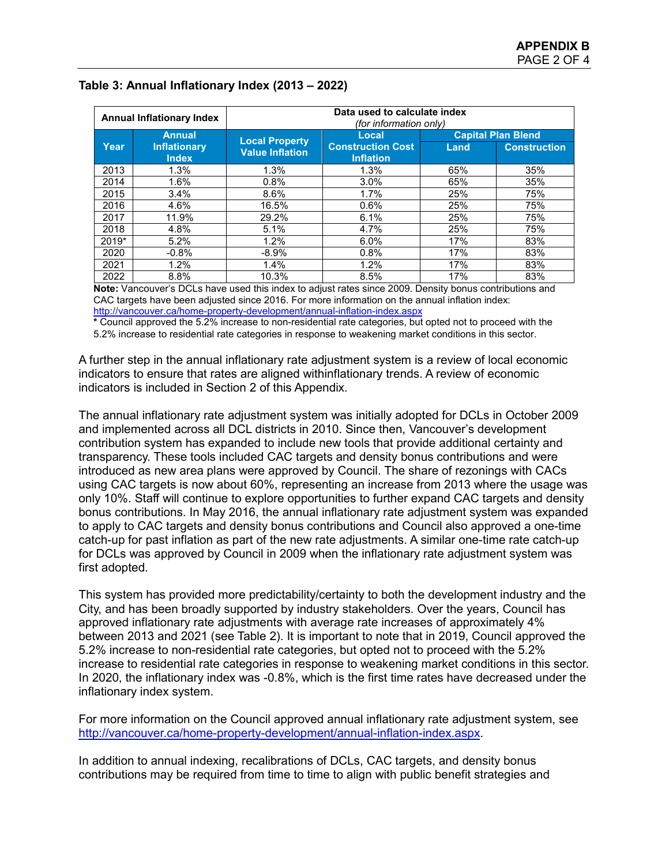| <b>Annual Inflationary Index</b> |                                     | Data used to calculate index<br><i>(for information only)</i> |                                                       |                           |                     |  |
|----------------------------------|-------------------------------------|---------------------------------------------------------------|-------------------------------------------------------|---------------------------|---------------------|--|
|                                  | <b>Annual</b>                       | <b>Local Property</b><br><b>Value Inflation</b>               | Local<br><b>Construction Cost</b><br><b>Inflation</b> | <b>Capital Plan Blend</b> |                     |  |
| Year                             | <b>Inflationary</b><br><b>Index</b> |                                                               |                                                       | Land                      | <b>Construction</b> |  |
| 2013                             | 1.3%                                | 1.3%                                                          | 1.3%                                                  | 65%                       | 35%                 |  |
| 2014                             | 1.6%                                | 0.8%                                                          | 3.0%                                                  | 65%                       | 35%                 |  |
| 2015                             | 3.4%                                | 8.6%                                                          | 1.7%                                                  | 25%                       | 75%                 |  |
| 2016                             | 4.6%                                | 16.5%                                                         | 0.6%                                                  | 25%                       | 75%                 |  |
| 2017                             | 11.9%                               | 29.2%                                                         | 6.1%                                                  | 25%                       | 75%                 |  |
| 2018                             | 4.8%                                | 5.1%                                                          | 4.7%                                                  | 25%                       | 75%                 |  |
| 2019*                            | 5.2%                                | 1.2%                                                          | 6.0%                                                  | 17%                       | 83%                 |  |
| 2020                             | $-0.8%$                             | $-8.9%$                                                       | 0.8%                                                  | 17%                       | 83%                 |  |
| 2021                             | 1.2%                                | 1.4%                                                          | 1.2%                                                  | 17%                       | 83%                 |  |
| 2022                             | 8.8%                                | 10.3%                                                         | 8.5%                                                  | 17%                       | 83%                 |  |

# **Table 3: Annual Inflationary Index (2013 – 2022)**

**Note:** Vancouver's DCLs have used this index to adjust rates since 2009. Density bonus contributions and CAC targets have been adjusted since 2016. For more information on the annual inflation index: <http://vancouver.ca/home-property-development/annual-inflation-index.aspx>

**\*** Council approved the 5.2% increase to non-residential rate categories, but opted not to proceed with the 5.2% increase to residential rate categories in response to weakening market conditions in this sector.

A further step in the annual inflationary rate adjustment system is a review of local economic indicators to ensure that rates are aligned withinflationary trends. A review of economic indicators is included in Section 2 of this Appendix.

The annual inflationary rate adjustment system was initially adopted for DCLs in October 2009 and implemented across all DCL districts in 2010. Since then, Vancouver's development contribution system has expanded to include new tools that provide additional certainty and transparency. These tools included CAC targets and density bonus contributions and were introduced as new area plans were approved by Council. The share of rezonings with CACs using CAC targets is now about 60%, representing an increase from 2013 where the usage was only 10%. Staff will continue to explore opportunities to further expand CAC targets and density bonus contributions. In May 2016, the annual inflationary rate adjustment system was expanded to apply to CAC targets and density bonus contributions and Council also approved a one-time catch-up for past inflation as part of the new rate adjustments. A similar one-time rate catch-up for DCLs was approved by Council in 2009 when the inflationary rate adjustment system was first adopted.

This system has provided more predictability/certainty to both the development industry and the City, and has been broadly supported by industry stakeholders. Over the years, Council has approved inflationary rate adjustments with average rate increases of approximately 4% between 2013 and 2021 (see Table 2). It is important to note that in 2019, Council approved the 5.2% increase to non-residential rate categories, but opted not to proceed with the 5.2% increase to residential rate categories in response to weakening market conditions in this sector. In 2020, the inflationary index was -0.8%, which is the first time rates have decreased under the inflationary index system.

For more information on the Council approved annual inflationary rate adjustment system, see [http://vancouver.ca/home-property-development/annual-inflation-index.aspx.](http://vancouver.ca/home-property-development/annual-inflation-index.aspx)

In addition to annual indexing, recalibrations of DCLs, CAC targets, and density bonus contributions may be required from time to time to align with public benefit strategies and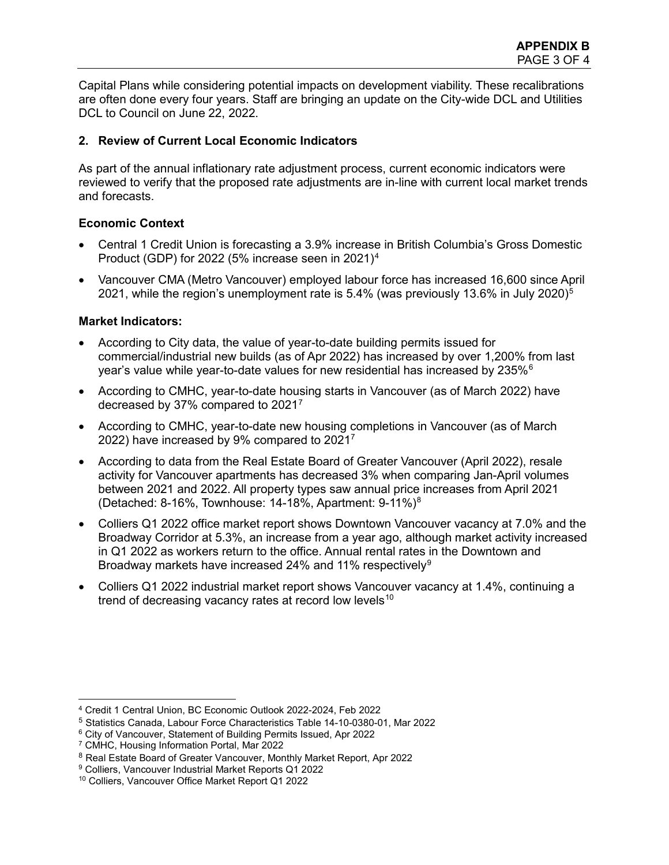Capital Plans while considering potential impacts on development viability. These recalibrations are often done every four years. Staff are bringing an update on the City-wide DCL and Utilities DCL to Council on June 22, 2022.

# **2. Review of Current Local Economic Indicators**

As part of the annual inflationary rate adjustment process, current economic indicators were reviewed to verify that the proposed rate adjustments are in-line with current local market trends and forecasts.

# **Economic Context**

- Central 1 Credit Union is forecasting a 3.9% increase in British Columbia's Gross Domestic Product (GDP) for 2022 (5% increase seen in 2021)[4](#page-12-0)
- Vancouver CMA (Metro Vancouver) employed labour force has increased 16,600 since April 2021, while the region's unemployment rate is [5](#page-12-1).4% (was previously 13.6% in July 2020)<sup>5</sup>

# **Market Indicators:**

- According to City data, the value of year-to-date building permits issued for commercial/industrial new builds (as of Apr 2022) has increased by over 1,200% from last year's value while year-to-date values for new residential has increased by 235% $<sup>6</sup>$  $<sup>6</sup>$  $<sup>6</sup>$ </sup>
- According to CMHC, year-to-date housing starts in Vancouver (as of March 2022) have decreased by 37% compared to 202[17](#page-12-3)
- According to CMHC, year-to-date new housing completions in Vancouver (as of March 2022) have increased by 9% compared to 20217
- According to data from the Real Estate Board of Greater Vancouver (April 2022), resale activity for Vancouver apartments has decreased 3% when comparing Jan-April volumes between 2021 and 2022. All property types saw annual price increases from April 2021 (Detached: 8-16%, Townhouse: 14-18%, Apartment: 9-11%)[8](#page-12-4)
- Colliers Q1 2022 office market report shows Downtown Vancouver vacancy at 7.0% and the Broadway Corridor at 5.3%, an increase from a year ago, although market activity increased in Q1 2022 as workers return to the office. Annual rental rates in the Downtown and Broadway markets have increased 24% and 11% respectively<sup>[9](#page-12-5)</sup>
- Colliers Q1 2022 industrial market report shows Vancouver vacancy at 1.4%, continuing a trend of decreasing vacancy rates at record low levels<sup>[10](#page-12-6)</sup>

<span id="page-12-0"></span> <sup>4</sup> Credit 1 Central Union, BC Economic Outlook 2022-2024, Feb 2022

<span id="page-12-1"></span><sup>5</sup> Statistics Canada, Labour Force Characteristics Table 14-10-0380-01, Mar 2022

<span id="page-12-2"></span><sup>6</sup> City of Vancouver, Statement of Building Permits Issued, Apr 2022

<span id="page-12-3"></span><sup>7</sup> CMHC, Housing Information Portal, Mar 2022

<span id="page-12-4"></span><sup>&</sup>lt;sup>8</sup> Real Estate Board of Greater Vancouver, Monthly Market Report, Apr 2022

<span id="page-12-6"></span><span id="page-12-5"></span><sup>9</sup> Colliers, Vancouver Industrial Market Reports Q1 2022

<sup>10</sup> Colliers, Vancouver Office Market Report Q1 2022